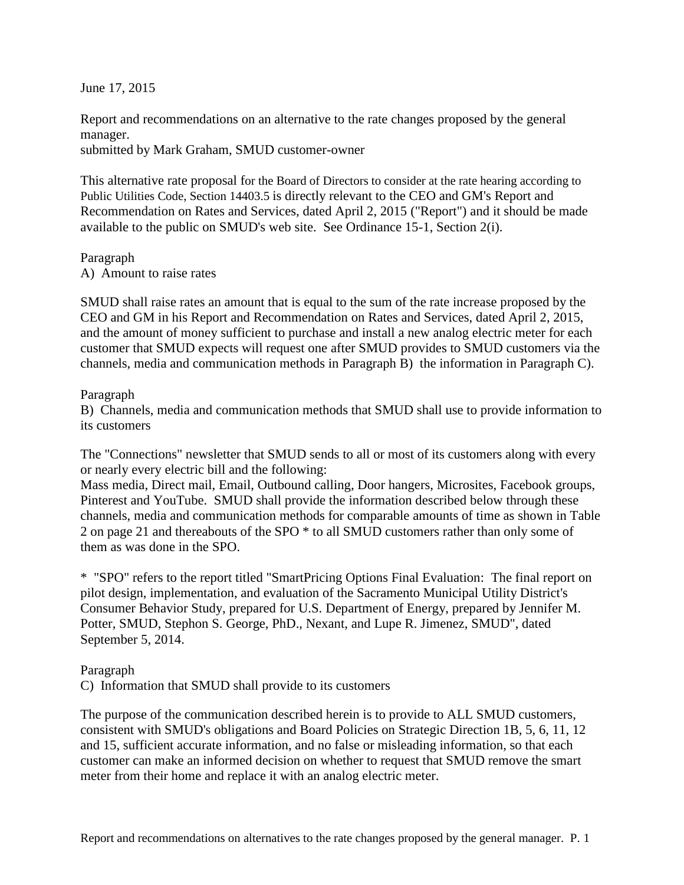June 17, 2015

Report and recommendations on an alternative to the rate changes proposed by the general manager.

submitted by Mark Graham, SMUD customer-owner

This alternative rate proposal for the Board of Directors to consider at the rate hearing according to Public Utilities Code, Section 14403.5 is directly relevant to the CEO and GM's Report and Recommendation on Rates and Services, dated April 2, 2015 ("Report") and it should be made available to the public on SMUD's web site. See Ordinance 15-1, Section 2(i).

Paragraph A) Amount to raise rates

SMUD shall raise rates an amount that is equal to the sum of the rate increase proposed by the CEO and GM in his Report and Recommendation on Rates and Services, dated April 2, 2015, and the amount of money sufficient to purchase and install a new analog electric meter for each customer that SMUD expects will request one after SMUD provides to SMUD customers via the channels, media and communication methods in Paragraph B) the information in Paragraph C).

## Paragraph

B) Channels, media and communication methods that SMUD shall use to provide information to its customers

The "Connections" newsletter that SMUD sends to all or most of its customers along with every or nearly every electric bill and the following:

Mass media, Direct mail, Email, Outbound calling, Door hangers, Microsites, Facebook groups, Pinterest and YouTube. SMUD shall provide the information described below through these channels, media and communication methods for comparable amounts of time as shown in Table 2 on page 21 and thereabouts of the SPO \* to all SMUD customers rather than only some of them as was done in the SPO.

\* "SPO" refers to the report titled "SmartPricing Options Final Evaluation: The final report on pilot design, implementation, and evaluation of the Sacramento Municipal Utility District's Consumer Behavior Study, prepared for U.S. Department of Energy, prepared by Jennifer M. Potter, SMUD, Stephon S. George, PhD., Nexant, and Lupe R. Jimenez, SMUD", dated September 5, 2014.

## Paragraph

C) Information that SMUD shall provide to its customers

The purpose of the communication described herein is to provide to ALL SMUD customers, consistent with SMUD's obligations and Board Policies on Strategic Direction 1B, 5, 6, 11, 12 and 15, sufficient accurate information, and no false or misleading information, so that each customer can make an informed decision on whether to request that SMUD remove the smart meter from their home and replace it with an analog electric meter.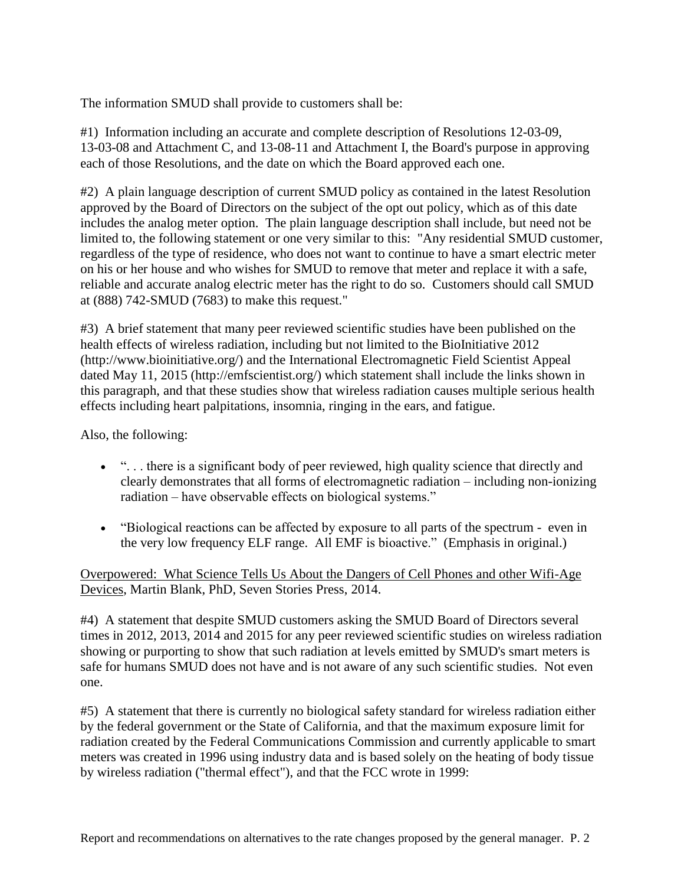The information SMUD shall provide to customers shall be:

#1) Information including an accurate and complete description of Resolutions 12-03-09, 13-03-08 and Attachment C, and 13-08-11 and Attachment I, the Board's purpose in approving each of those Resolutions, and the date on which the Board approved each one.

#2) A plain language description of current SMUD policy as contained in the latest Resolution approved by the Board of Directors on the subject of the opt out policy, which as of this date includes the analog meter option. The plain language description shall include, but need not be limited to, the following statement or one very similar to this: "Any residential SMUD customer, regardless of the type of residence, who does not want to continue to have a smart electric meter on his or her house and who wishes for SMUD to remove that meter and replace it with a safe, reliable and accurate analog electric meter has the right to do so. Customers should call SMUD at (888) 742-SMUD (7683) to make this request."

#3) A brief statement that many peer reviewed scientific studies have been published on the health effects of wireless radiation, including but not limited to the BioInitiative 2012 (http://www.bioinitiative.org/) and the International Electromagnetic Field Scientist Appeal dated May 11, 2015 (http://emfscientist.org/) which statement shall include the links shown in this paragraph, and that these studies show that wireless radiation causes multiple serious health effects including heart palpitations, insomnia, ringing in the ears, and fatigue.

Also, the following:

- ". . . there is a significant body of peer reviewed, high quality science that directly and clearly demonstrates that all forms of electromagnetic radiation – including non-ionizing radiation – have observable effects on biological systems."
- "Biological reactions can be affected by exposure to all parts of the spectrum even in the very low frequency ELF range. All EMF is bioactive." (Emphasis in original.)

Overpowered: What Science Tells Us About the Dangers of Cell Phones and other Wifi-Age Devices, Martin Blank, PhD, Seven Stories Press, 2014.

#4) A statement that despite SMUD customers asking the SMUD Board of Directors several times in 2012, 2013, 2014 and 2015 for any peer reviewed scientific studies on wireless radiation showing or purporting to show that such radiation at levels emitted by SMUD's smart meters is safe for humans SMUD does not have and is not aware of any such scientific studies. Not even one.

#5) A statement that there is currently no biological safety standard for wireless radiation either by the federal government or the State of California, and that the maximum exposure limit for radiation created by the Federal Communications Commission and currently applicable to smart meters was created in 1996 using industry data and is based solely on the heating of body tissue by wireless radiation ("thermal effect"), and that the FCC wrote in 1999: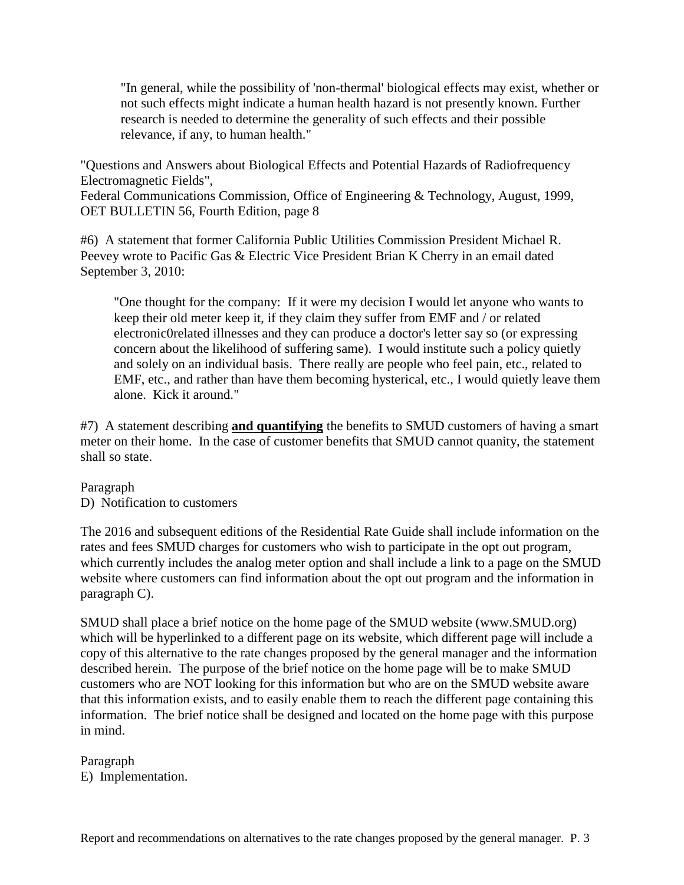"In general, while the possibility of 'non-thermal' biological effects may exist, whether or not such effects might indicate a human health hazard is not presently known. Further research is needed to determine the generality of such effects and their possible relevance, if any, to human health."

"Questions and Answers about Biological Effects and Potential Hazards of Radiofrequency Electromagnetic Fields",

Federal Communications Commission, Office of Engineering & Technology, August, 1999, OET BULLETIN 56, Fourth Edition, page 8

#6) A statement that former California Public Utilities Commission President Michael R. Peevey wrote to Pacific Gas & Electric Vice President Brian K Cherry in an email dated September 3, 2010:

"One thought for the company: If it were my decision I would let anyone who wants to keep their old meter keep it, if they claim they suffer from EMF and / or related electronic0related illnesses and they can produce a doctor's letter say so (or expressing concern about the likelihood of suffering same). I would institute such a policy quietly and solely on an individual basis. There really are people who feel pain, etc., related to EMF, etc., and rather than have them becoming hysterical, etc., I would quietly leave them alone. Kick it around."

#7) A statement describing **and quantifying** the benefits to SMUD customers of having a smart meter on their home. In the case of customer benefits that SMUD cannot quanity, the statement shall so state.

## Paragraph

D) Notification to customers

The 2016 and subsequent editions of the Residential Rate Guide shall include information on the rates and fees SMUD charges for customers who wish to participate in the opt out program, which currently includes the analog meter option and shall include a link to a page on the SMUD website where customers can find information about the opt out program and the information in paragraph C).

SMUD shall place a brief notice on the home page of the SMUD website (www.SMUD.org) which will be hyperlinked to a different page on its website, which different page will include a copy of this alternative to the rate changes proposed by the general manager and the information described herein. The purpose of the brief notice on the home page will be to make SMUD customers who are NOT looking for this information but who are on the SMUD website aware that this information exists, and to easily enable them to reach the different page containing this information. The brief notice shall be designed and located on the home page with this purpose in mind.

Paragraph E) Implementation.